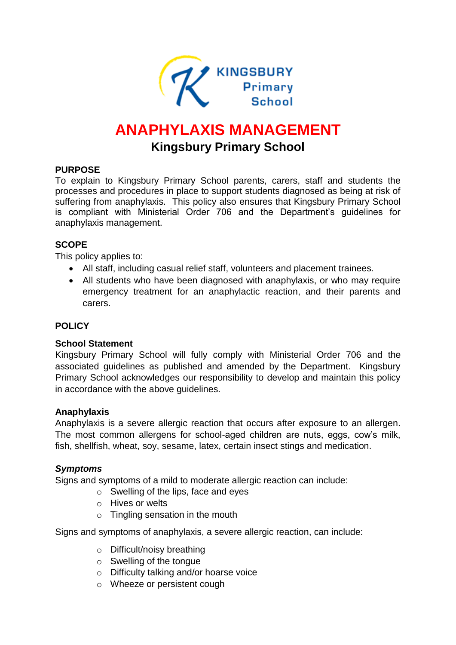

# **ANAPHYLAXIS MANAGEMENT Kingsbury Primary School**

## **PURPOSE**

To explain to Kingsbury Primary School parents, carers, staff and students the processes and procedures in place to support students diagnosed as being at risk of suffering from anaphylaxis. This policy also ensures that Kingsbury Primary School is compliant with Ministerial Order 706 and the Department's guidelines for anaphylaxis management.

## **SCOPE**

This policy applies to:

- All staff, including casual relief staff, volunteers and placement trainees.
- All students who have been diagnosed with anaphylaxis, or who may require emergency treatment for an anaphylactic reaction, and their parents and carers.

## **POLICY**

#### **School Statement**

Kingsbury Primary School will fully comply with Ministerial Order 706 and the associated guidelines as published and amended by the Department. Kingsbury Primary School acknowledges our responsibility to develop and maintain this policy in accordance with the above guidelines.

#### **Anaphylaxis**

Anaphylaxis is a severe allergic reaction that occurs after exposure to an allergen. The most common allergens for school-aged children are nuts, eggs, cow's milk, fish, shellfish, wheat, soy, sesame, latex, certain insect stings and medication.

## *Symptoms*

Signs and symptoms of a mild to moderate allergic reaction can include:

- o Swelling of the lips, face and eyes
- o Hives or welts
- o Tingling sensation in the mouth

Signs and symptoms of anaphylaxis, a severe allergic reaction, can include:

- o Difficult/noisy breathing
- o Swelling of the tongue
- o Difficulty talking and/or hoarse voice
- o Wheeze or persistent cough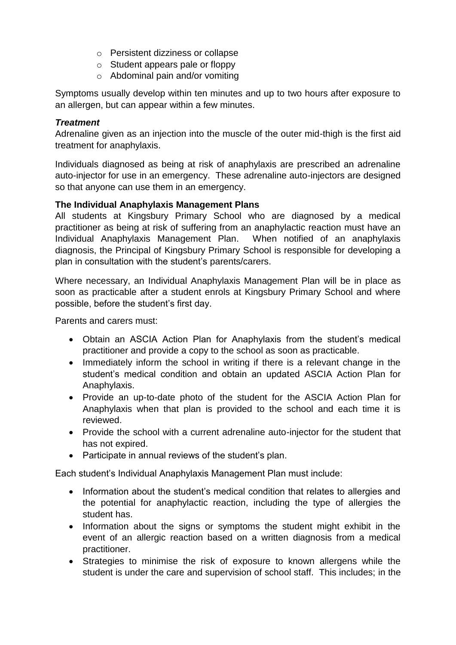- o Persistent dizziness or collapse
- o Student appears pale or floppy
- o Abdominal pain and/or vomiting

Symptoms usually develop within ten minutes and up to two hours after exposure to an allergen, but can appear within a few minutes.

#### *Treatment*

Adrenaline given as an injection into the muscle of the outer mid-thigh is the first aid treatment for anaphylaxis.

Individuals diagnosed as being at risk of anaphylaxis are prescribed an adrenaline auto-injector for use in an emergency. These adrenaline auto-injectors are designed so that anyone can use them in an emergency.

## **The Individual Anaphylaxis Management Plans**

All students at Kingsbury Primary School who are diagnosed by a medical practitioner as being at risk of suffering from an anaphylactic reaction must have an Individual Anaphylaxis Management Plan. When notified of an anaphylaxis diagnosis, the Principal of Kingsbury Primary School is responsible for developing a plan in consultation with the student's parents/carers.

Where necessary, an Individual Anaphylaxis Management Plan will be in place as soon as practicable after a student enrols at Kingsbury Primary School and where possible, before the student's first day.

Parents and carers must:

- Obtain an ASCIA Action Plan for Anaphylaxis from the student's medical practitioner and provide a copy to the school as soon as practicable.
- Immediately inform the school in writing if there is a relevant change in the student's medical condition and obtain an updated ASCIA Action Plan for Anaphylaxis.
- Provide an up-to-date photo of the student for the ASCIA Action Plan for Anaphylaxis when that plan is provided to the school and each time it is reviewed.
- Provide the school with a current adrenaline auto-injector for the student that has not expired.
- Participate in annual reviews of the student's plan.

Each student's Individual Anaphylaxis Management Plan must include:

- Information about the student's medical condition that relates to allergies and the potential for anaphylactic reaction, including the type of allergies the student has.
- Information about the signs or symptoms the student might exhibit in the event of an allergic reaction based on a written diagnosis from a medical practitioner.
- Strategies to minimise the risk of exposure to known allergens while the student is under the care and supervision of school staff. This includes; in the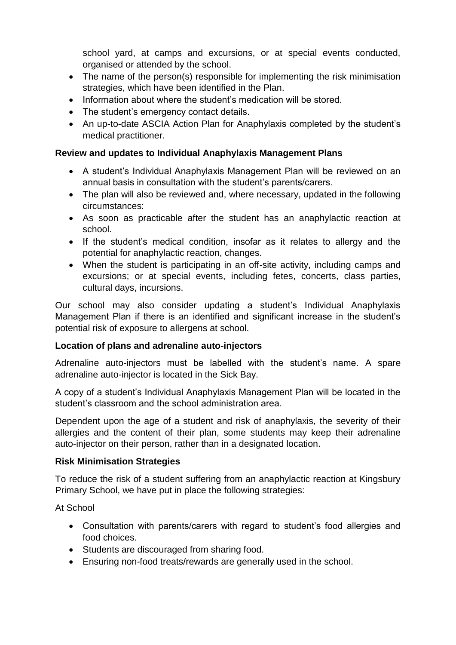school yard, at camps and excursions, or at special events conducted, organised or attended by the school.

- The name of the person(s) responsible for implementing the risk minimisation strategies, which have been identified in the Plan.
- Information about where the student's medication will be stored.
- The student's emergency contact details.
- An up-to-date ASCIA Action Plan for Anaphylaxis completed by the student's medical practitioner.

## **Review and updates to Individual Anaphylaxis Management Plans**

- A student's Individual Anaphylaxis Management Plan will be reviewed on an annual basis in consultation with the student's parents/carers.
- The plan will also be reviewed and, where necessary, updated in the following circumstances:
- As soon as practicable after the student has an anaphylactic reaction at school.
- If the student's medical condition, insofar as it relates to allergy and the potential for anaphylactic reaction, changes.
- When the student is participating in an off-site activity, including camps and excursions; or at special events, including fetes, concerts, class parties, cultural days, incursions.

Our school may also consider updating a student's Individual Anaphylaxis Management Plan if there is an identified and significant increase in the student's potential risk of exposure to allergens at school.

#### **Location of plans and adrenaline auto-injectors**

Adrenaline auto-injectors must be labelled with the student's name. A spare adrenaline auto-injector is located in the Sick Bay.

A copy of a student's Individual Anaphylaxis Management Plan will be located in the student's classroom and the school administration area.

Dependent upon the age of a student and risk of anaphylaxis, the severity of their allergies and the content of their plan, some students may keep their adrenaline auto-injector on their person, rather than in a designated location.

#### **Risk Minimisation Strategies**

To reduce the risk of a student suffering from an anaphylactic reaction at Kingsbury Primary School, we have put in place the following strategies:

At School

- Consultation with parents/carers with regard to student's food allergies and food choices.
- Students are discouraged from sharing food.
- Ensuring non-food treats/rewards are generally used in the school.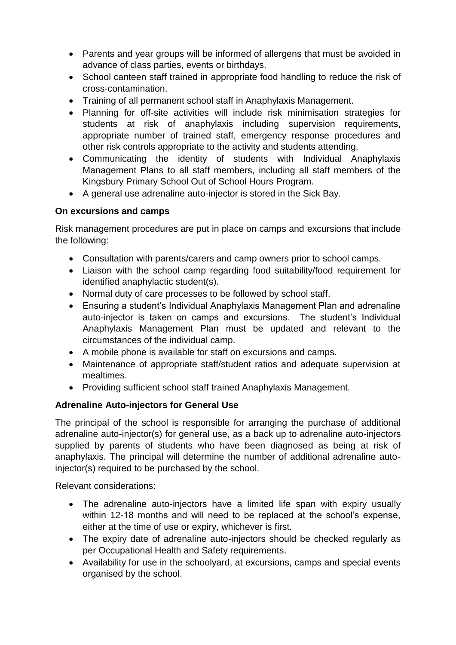- Parents and year groups will be informed of allergens that must be avoided in advance of class parties, events or birthdays.
- School canteen staff trained in appropriate food handling to reduce the risk of cross-contamination.
- Training of all permanent school staff in Anaphylaxis Management.
- Planning for off-site activities will include risk minimisation strategies for students at risk of anaphylaxis including supervision requirements, appropriate number of trained staff, emergency response procedures and other risk controls appropriate to the activity and students attending.
- Communicating the identity of students with Individual Anaphylaxis Management Plans to all staff members, including all staff members of the Kingsbury Primary School Out of School Hours Program.
- A general use adrenaline auto-injector is stored in the Sick Bay.

## **On excursions and camps**

Risk management procedures are put in place on camps and excursions that include the following:

- Consultation with parents/carers and camp owners prior to school camps.
- Liaison with the school camp regarding food suitability/food requirement for identified anaphylactic student(s).
- Normal duty of care processes to be followed by school staff.
- Ensuring a student's Individual Anaphylaxis Management Plan and adrenaline auto-injector is taken on camps and excursions. The student's Individual Anaphylaxis Management Plan must be updated and relevant to the circumstances of the individual camp.
- A mobile phone is available for staff on excursions and camps.
- Maintenance of appropriate staff/student ratios and adequate supervision at mealtimes.
- Providing sufficient school staff trained Anaphylaxis Management.

## **Adrenaline Auto-injectors for General Use**

The principal of the school is responsible for arranging the purchase of additional adrenaline auto-injector(s) for general use, as a back up to adrenaline auto-injectors supplied by parents of students who have been diagnosed as being at risk of anaphylaxis. The principal will determine the number of additional adrenaline autoinjector(s) required to be purchased by the school.

Relevant considerations:

- The adrenaline auto-injectors have a limited life span with expiry usually within 12-18 months and will need to be replaced at the school's expense, either at the time of use or expiry, whichever is first.
- The expiry date of adrenaline auto-injectors should be checked regularly as per Occupational Health and Safety requirements.
- Availability for use in the schoolyard, at excursions, camps and special events organised by the school.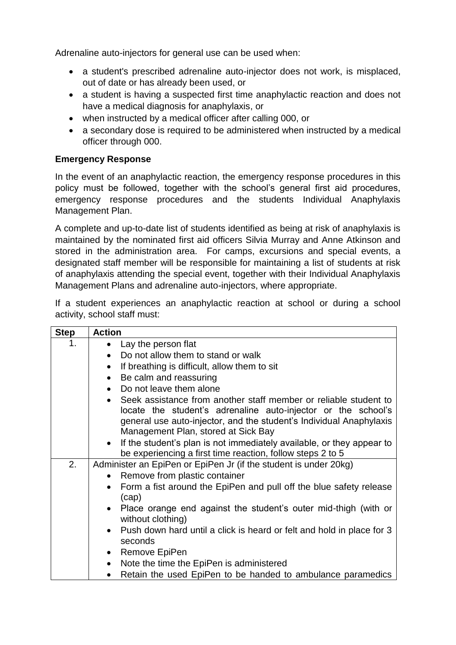Adrenaline auto-injectors for general use can be used when:

- a student's prescribed adrenaline auto-injector does not work, is misplaced, out of date or has already been used, or
- a student is having a suspected first time anaphylactic reaction and does not have a medical diagnosis for anaphylaxis, or
- when instructed by a medical officer after calling 000, or
- a secondary dose is required to be administered when instructed by a medical officer through 000.

## **Emergency Response**

In the event of an anaphylactic reaction, the emergency response procedures in this policy must be followed, together with the school's general first aid procedures, emergency response procedures and the students Individual Anaphylaxis Management Plan.

A complete and up-to-date list of students identified as being at risk of anaphylaxis is maintained by the nominated first aid officers Silvia Murray and Anne Atkinson and stored in the administration area. For camps, excursions and special events, a designated staff member will be responsible for maintaining a list of students at risk of anaphylaxis attending the special event, together with their Individual Anaphylaxis Management Plans and adrenaline auto-injectors, where appropriate.

If a student experiences an anaphylactic reaction at school or during a school activity, school staff must:

| <b>Step</b> | <b>Action</b>                                                                                                                                                                                                                                                |
|-------------|--------------------------------------------------------------------------------------------------------------------------------------------------------------------------------------------------------------------------------------------------------------|
| 1.          | Lay the person flat<br>$\bullet$                                                                                                                                                                                                                             |
|             | Do not allow them to stand or walk<br>$\bullet$                                                                                                                                                                                                              |
|             | If breathing is difficult, allow them to sit<br>$\bullet$                                                                                                                                                                                                    |
|             | Be calm and reassuring<br>$\bullet$                                                                                                                                                                                                                          |
|             | Do not leave them alone<br>$\bullet$                                                                                                                                                                                                                         |
|             | Seek assistance from another staff member or reliable student to<br>$\bullet$<br>locate the student's adrenaline auto-injector or the school's<br>general use auto-injector, and the student's Individual Anaphylaxis<br>Management Plan, stored at Sick Bay |
|             | If the student's plan is not immediately available, or they appear to<br>$\bullet$<br>be experiencing a first time reaction, follow steps 2 to 5                                                                                                             |
| 2.          | Administer an EpiPen or EpiPen Jr (if the student is under 20kg)                                                                                                                                                                                             |
|             | Remove from plastic container<br>$\bullet$                                                                                                                                                                                                                   |
|             | Form a fist around the EpiPen and pull off the blue safety release<br>$\bullet$<br>(cap)                                                                                                                                                                     |
|             | Place orange end against the student's outer mid-thigh (with or<br>$\bullet$<br>without clothing)                                                                                                                                                            |
|             | Push down hard until a click is heard or felt and hold in place for 3<br>$\bullet$<br>seconds                                                                                                                                                                |
|             | Remove EpiPen<br>$\bullet$                                                                                                                                                                                                                                   |
|             | Note the time the EpiPen is administered<br>$\bullet$                                                                                                                                                                                                        |
|             | Retain the used EpiPen to be handed to ambulance paramedics<br>$\bullet$                                                                                                                                                                                     |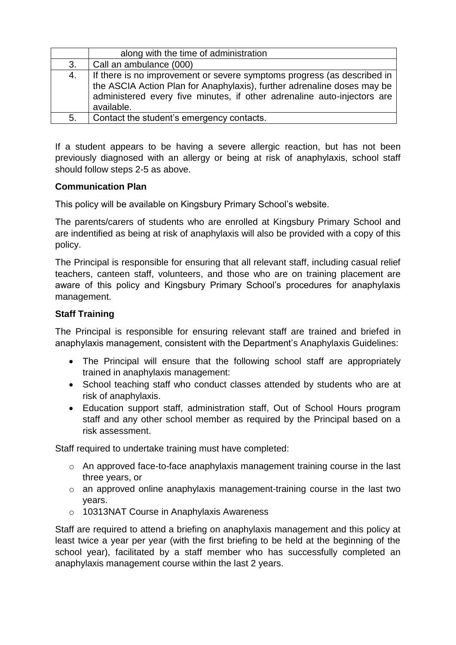|    | along with the time of administration                                                                                                                                                                                                       |
|----|---------------------------------------------------------------------------------------------------------------------------------------------------------------------------------------------------------------------------------------------|
| 3. | Call an ambulance (000)                                                                                                                                                                                                                     |
| 4. | If there is no improvement or severe symptoms progress (as described in<br>the ASCIA Action Plan for Anaphylaxis), further adrenaline doses may be<br>administered every five minutes, if other adrenaline auto-injectors are<br>available. |
| 5. | Contact the student's emergency contacts.                                                                                                                                                                                                   |

If a student appears to be having a severe allergic reaction, but has not been previously diagnosed with an allergy or being at risk of anaphylaxis, school staff should follow steps 2-5 as above.

#### **Communication Plan**

This policy will be available on Kingsbury Primary School's website.

The parents/carers of students who are enrolled at Kingsbury Primary School and are indentified as being at risk of anaphylaxis will also be provided with a copy of this policy.

The Principal is responsible for ensuring that all relevant staff, including casual relief teachers, canteen staff, volunteers, and those who are on training placement are aware of this policy and Kingsbury Primary School's procedures for anaphylaxis management.

## **Staff Training**

The Principal is responsible for ensuring relevant staff are trained and briefed in anaphylaxis management, consistent with the Department's Anaphylaxis Guidelines:

- The Principal will ensure that the following school staff are appropriately trained in anaphylaxis management:
- School teaching staff who conduct classes attended by students who are at risk of anaphylaxis.
- Education support staff, administration staff, Out of School Hours program staff and any other school member as required by the Principal based on a risk assessment.

Staff required to undertake training must have completed:

- $\circ$  An approved face-to-face anaphylaxis management training course in the last three years, or
- o an approved online anaphylaxis management-training course in the last two years.
- o 10313NAT Course in Anaphylaxis Awareness

Staff are required to attend a briefing on anaphylaxis management and this policy at least twice a year per year (with the first briefing to be held at the beginning of the school year), facilitated by a staff member who has successfully completed an anaphylaxis management course within the last 2 years.